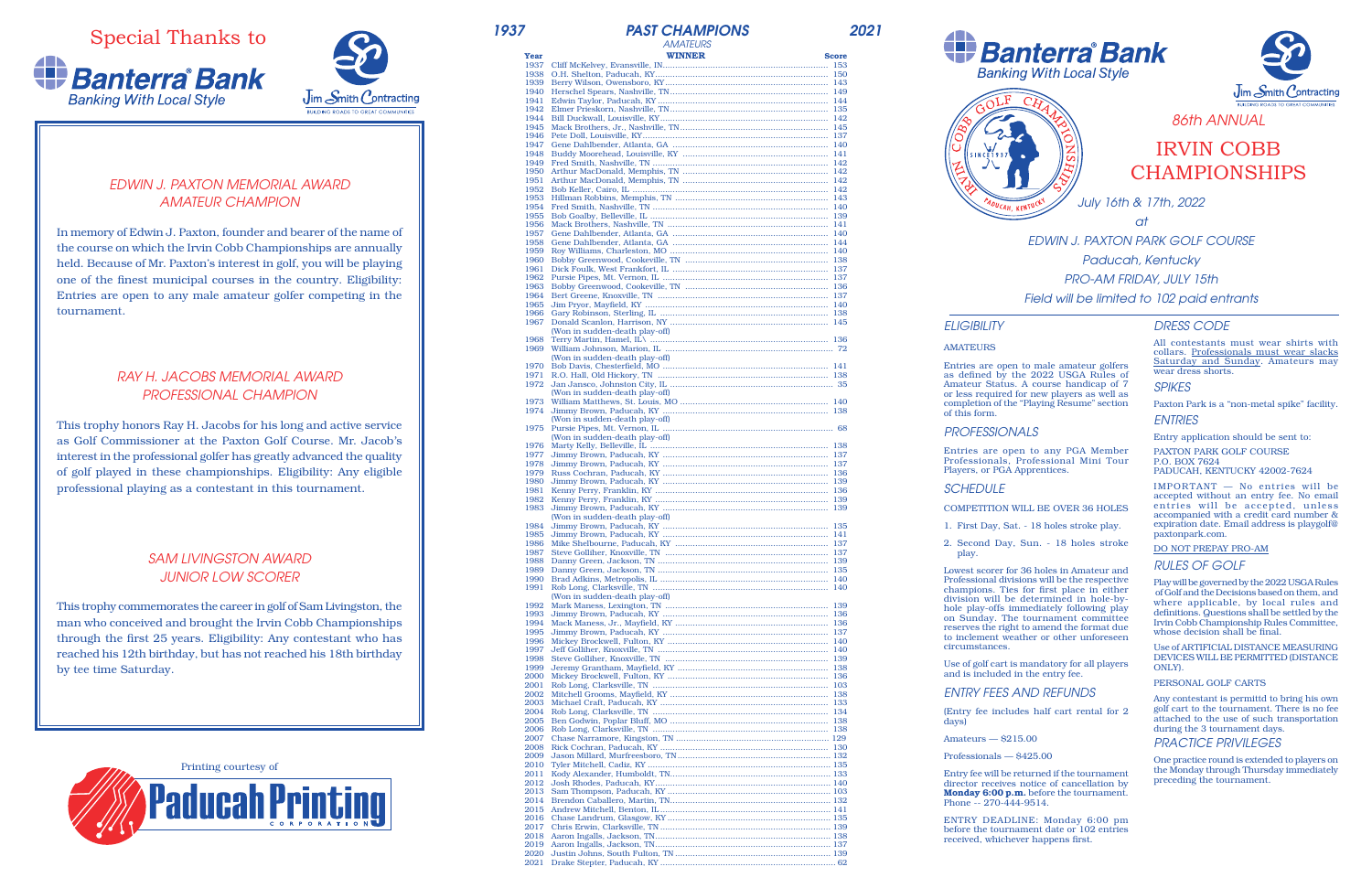Special Thanks to





*July 16th & 17th, 2022*

*at*

*EDWIN J. PAXTON PARK GOLF COURSE Paducah, Kentucky PRO-AM FRIDAY, JULY 15th Field will be limited to 102 paid entrants*

# *EDWIN J. PAXTON MEMORIAL AWARD AMATEUR CHAMPION*

In memory of Edwin J. Paxton, founder and bearer of the name of the course on which the Irvin Cobb Championships are annually held. Because of Mr. Paxton's interest in golf, you will be playing one of the finest municipal courses in the country. Eligibility: Entries are open to any male amateur golfer competing in the tournament.

# *RAY H. JACOBS MEMORIAL AWARD PROFESSIONAL CHAMPION*

This trophy honors Ray H. Jacobs for his long and active service as Golf Commissioner at the Paxton Golf Course. Mr. Jacob's interest in the professional golfer has greatly advanced the quality of golf played in these championships. Eligibility: Any eligible professional playing as a contestant in this tournament.

## *SAM LIVINGSTON AWARD JUNIOR LOW SCORER*

This trophy commemorates the career in golf of Sam Livingston, the man who conceived and brought the Irvin Cobb Championships through the first 25 years. Eligibility: Any contestant who has reached his 12th birthday, but has not reached his 18th birthday by tee time Saturday.

> Entry fee will be returned if the tournament director receives notice of cancellation by Monday 6:00 p.m. before the tournament.

| 1937         | <b>PAST CHAMPIONS</b>          |              | 2021 |
|--------------|--------------------------------|--------------|------|
|              | <b>AMATEURS</b>                |              |      |
| Year         | <b>WINNER</b>                  | <b>Score</b> |      |
| 1937         |                                |              |      |
| 1938         |                                |              |      |
| 1939<br>1940 |                                |              |      |
| 1941         |                                |              |      |
| 1942         |                                |              |      |
| 1944         |                                |              |      |
| 1945         |                                |              |      |
| 1946<br>1947 |                                |              |      |
| 1948         |                                |              |      |
| 1949         |                                |              |      |
| 1950         |                                |              |      |
| 1951         |                                |              |      |
| 1952<br>1953 |                                |              |      |
| 1954         |                                |              |      |
| 1955         |                                |              |      |
| 1956         |                                |              |      |
| 1957         |                                |              |      |
| 1958<br>1959 |                                |              |      |
| 1960         |                                |              |      |
| 1961         |                                |              |      |
| 1962         |                                |              |      |
| 1963         |                                |              |      |
| 1964         |                                |              |      |
| 1965<br>1966 |                                |              |      |
| 1967         |                                |              |      |
|              | (Won in sudden-death play-off) |              |      |
| 1968         |                                |              |      |
|              |                                |              |      |
|              | (Won in sudden-death play-off) |              |      |
| 1970<br>1971 |                                |              |      |
| 1972         |                                |              |      |
|              | (Won in sudden-death play-off) |              |      |
|              |                                |              |      |
| 1974         |                                |              |      |
|              | (Won in sudden-death play-off) |              |      |
|              | (Won in sudden-death play-off) |              |      |
| 1976         |                                |              |      |
| 1977         |                                |              |      |
| 1978         |                                |              |      |
| 1979         |                                |              |      |
| 1980         |                                |              |      |
| 1981<br>1982 |                                |              |      |
| 1983         |                                |              |      |
|              | (Won in sudden-death play-off) |              |      |
| 1984         | Jimmy Brown, Paducah, KY       | 135          |      |
| 1985         |                                |              |      |
| 1986<br>1987 |                                |              |      |
| 1988         |                                |              |      |
| 1989         |                                |              |      |
| 1990         |                                |              |      |
| 1991         |                                |              |      |
|              | (Won in sudden-death play-off) |              |      |
| 1992<br>1993 |                                |              |      |
| 1994         |                                |              |      |
| 1995         |                                |              |      |
| 1996         |                                |              |      |
| 1997         |                                |              |      |
| 1998<br>1999 |                                |              |      |
| 2000         |                                |              |      |
| 2001         |                                |              |      |
| 2002         |                                |              |      |
| 2003         |                                |              |      |
| 2004         |                                |              |      |
| 2005<br>2006 |                                |              |      |
| 2007         |                                |              |      |
| 2008         |                                |              |      |
| 2009         |                                |              |      |
| 2010         |                                |              |      |
| 2011         |                                |              |      |
| 2012<br>2013 |                                |              |      |
| 2014         |                                |              |      |
| 2015         |                                |              |      |
| 2016         |                                |              |      |
| 2017         |                                |              |      |
| 2018         |                                |              |      |
| 2019<br>2020 |                                |              |      |
| 2021         |                                |              |      |







# IRVIN COBB CHAMPIONSHIPS

# *ELIGIBILITY*

#### AMATEURS

Entries are open to male amateur golfers as defined by the 2022 USGA Rules of Amateur Status. A course handicap of 7 or less required for new players as well as completion of the "Playing Resume" section

of this form.

#### *PROFESSIONALS*

Entries are open to any PGA Member Professionals, Professional Mini Tour Players, or PGA Apprentices.

### *SCHEDULE*

#### COMPETITION WILL BE OVER 36 HOLES

1. First Day, Sat. - 18 holes stroke play.

2. Second Day, Sun. - 18 holes stroke

play.

Lowest scorer for 36 holes in Amateur and Professional divisions will be the respective champions. Ties for first place in either division will be determined in hole-byhole play-offs immediately following play on Sunday. The tournament committee reserves the right to amend the format due to inclement weather or other unforeseen

circumstances.

Use of golf cart is mandatory for all players and is included in the entry fee.

*ENTRY FEES AND REFUNDS*

(Entry fee includes half cart rental for 2

days)

Amateurs — \$215.00

Professionals — \$425.00

Phone -- 270-444-9514.



ENTRY DEADLINE: Monday 6:00 pm before the tournament date or 102 entries received, whichever happens first.

### *DRESS CODE*

All contestants must wear shirts with collars. Professionals must wear slacks Saturday and Sunday. Amateurs may wear dress shorts.

### *SPIKES*

Paxton Park is a "non-metal spike" facility.

*ENTRIES*

Entry application should be sent to:

PAXTON PARK GOLF COURSE P.O. BOX 7624

PADUCAH, KENTUCKY 42002-7624

IMPORTANT — No entries will be accepted without an entry fee. No email entries will be accepted, unless accompanied with a credit card number & expiration date. Email address is playgolf@ paxtonpark.com.

#### DO NOT PREPAY PRO-AM

#### *RULES OF GOLF*

Play will be governed by the 2022 USGA Rules of Golf and the Decisions based on them, and where applicable, by local rules and definitions. Questions shall be settled by the Irvin Cobb Championship Rules Committee, whose decision shall be final.

Use of ARTIFICIAL DISTANCE MEASURING DEVICES WILL BE PERMITTED (DISTANCE ONLY).

PERSONAL GOLF CARTS

Any contestant is permittd to bring his own golf cart to the tournament. There is no fee attached to the use of such transportation during the 3 tournament days.

*PRACTICE PRIVILEGES*

One practice round is extended to players on the Monday through Thursday immediately preceding the tournament.